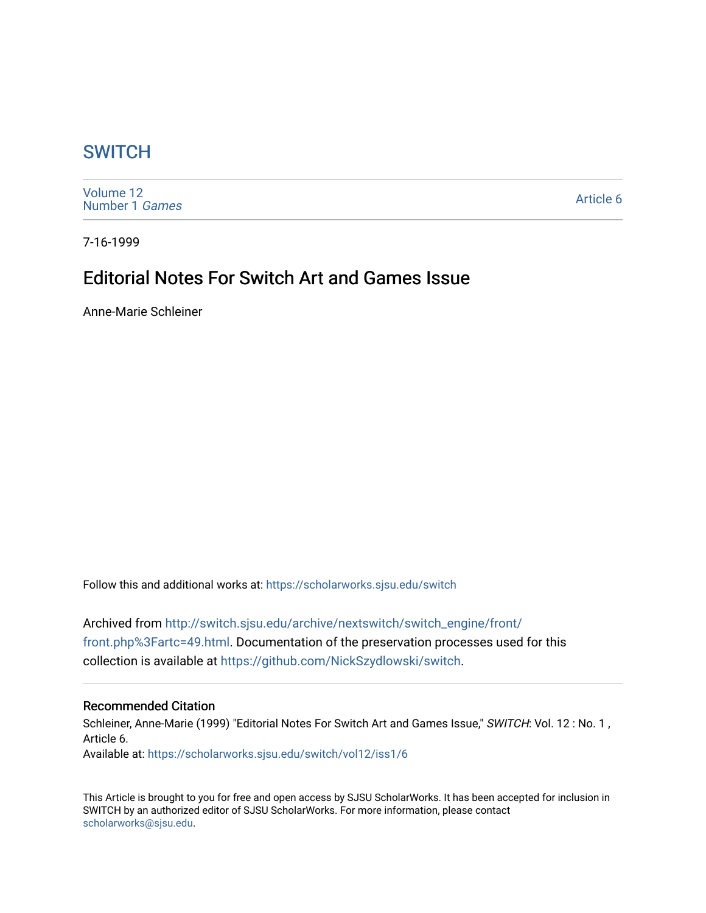## **SWITCH**

[Volume 12](https://scholarworks.sjsu.edu/switch/vol12) [Number 1](https://scholarworks.sjsu.edu/switch/vol12/iss1) Games

[Article 6](https://scholarworks.sjsu.edu/switch/vol12/iss1/6) 

7-16-1999

## Editorial Notes For Switch Art and Games Issue

Anne-Marie Schleiner

Follow this and additional works at: [https://scholarworks.sjsu.edu/switch](https://scholarworks.sjsu.edu/switch?utm_source=scholarworks.sjsu.edu%2Fswitch%2Fvol12%2Fiss1%2F6&utm_medium=PDF&utm_campaign=PDFCoverPages)

Archived from [http://switch.sjsu.edu/archive/nextswitch/switch\\_engine/front/](http://switch.sjsu.edu/archive/nextswitch/switch_engine/front/front.php%3Fartc=49.html) [front.php%3Fartc=49.html](http://switch.sjsu.edu/archive/nextswitch/switch_engine/front/front.php%3Fartc=49.html). Documentation of the preservation processes used for this collection is available at [https://github.com/NickSzydlowski/switch.](https://github.com/NickSzydlowski/switch)

## Recommended Citation

Schleiner, Anne-Marie (1999) "Editorial Notes For Switch Art and Games Issue," SWITCH: Vol. 12 : No. 1, Article 6. Available at: [https://scholarworks.sjsu.edu/switch/vol12/iss1/6](https://scholarworks.sjsu.edu/switch/vol12/iss1/6?utm_source=scholarworks.sjsu.edu%2Fswitch%2Fvol12%2Fiss1%2F6&utm_medium=PDF&utm_campaign=PDFCoverPages) 

This Article is brought to you for free and open access by SJSU ScholarWorks. It has been accepted for inclusion in SWITCH by an authorized editor of SJSU ScholarWorks. For more information, please contact [scholarworks@sjsu.edu](mailto:scholarworks@sjsu.edu).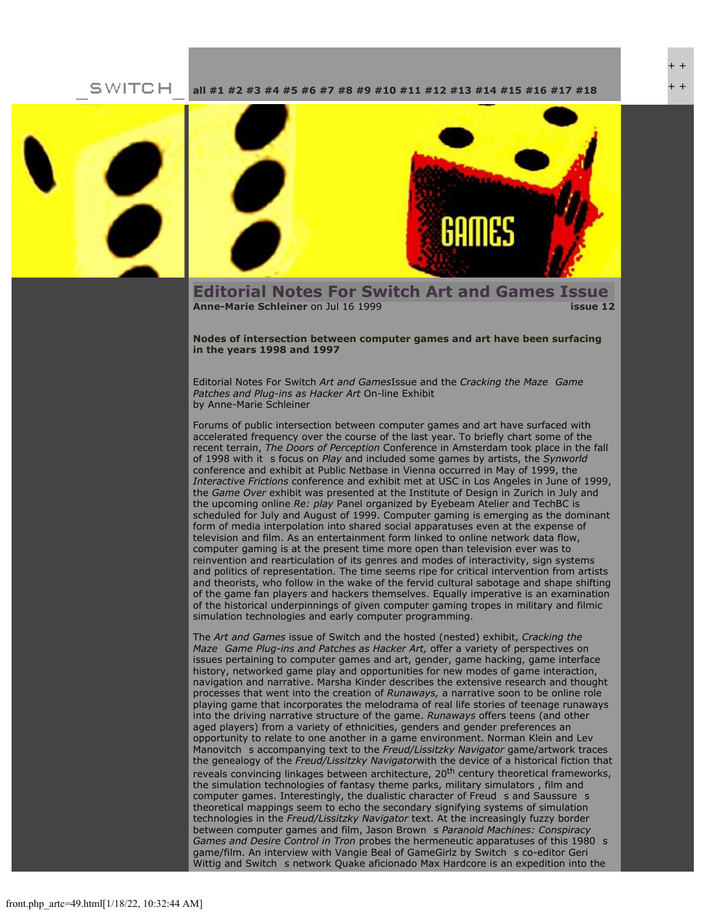**[all](file:///Users/nszydlowski/Desktop/websites%20copy/Switch%20Journal/switch.sjsu.edu/archive/nextswitch/switch_engine/front/front.php.html) [#1](file:///Users/nszydlowski/Desktop/websites%20copy/Switch%20Journal/switch.sjsu.edu/archive/nextswitch/switch_engine/front/front.php_cat%3d5.html) [#2](file:///Users/nszydlowski/Desktop/websites%20copy/Switch%20Journal/switch.sjsu.edu/archive/nextswitch/switch_engine/front/front.php_cat%3d6.html) [#3](file:///Users/nszydlowski/Desktop/websites%20copy/Switch%20Journal/switch.sjsu.edu/archive/nextswitch/switch_engine/front/front.php_cat%3d7.html) [#4](file:///Users/nszydlowski/Desktop/websites%20copy/Switch%20Journal/switch.sjsu.edu/archive/nextswitch/switch_engine/front/front.php_cat%3d8.html) [#5](file:///Users/nszydlowski/Desktop/websites%20copy/Switch%20Journal/switch.sjsu.edu/archive/nextswitch/switch_engine/front/front.php_cat%3d9.html) [#6](file:///Users/nszydlowski/Desktop/websites%20copy/Switch%20Journal/switch.sjsu.edu/archive/nextswitch/switch_engine/front/front.php_cat%3d10.html) [#7](file:///Users/nszydlowski/Desktop/websites%20copy/Switch%20Journal/switch.sjsu.edu/archive/nextswitch/switch_engine/front/front.php_cat%3d11.html) [#8](file:///Users/nszydlowski/Desktop/websites%20copy/Switch%20Journal/switch.sjsu.edu/archive/nextswitch/switch_engine/front/front.php_cat%3d12.html) [#9](file:///Users/nszydlowski/Desktop/websites%20copy/Switch%20Journal/switch.sjsu.edu/archive/nextswitch/switch_engine/front/front.php_cat%3d13.html) [#10](file:///Users/nszydlowski/Desktop/websites%20copy/Switch%20Journal/switch.sjsu.edu/archive/nextswitch/switch_engine/front/front.php_cat%3d14.html) [#11](file:///Users/nszydlowski/Desktop/websites%20copy/Switch%20Journal/switch.sjsu.edu/archive/nextswitch/switch_engine/front/front.php_cat%3d15.html) [#12](file:///Users/nszydlowski/Desktop/websites%20copy/Switch%20Journal/switch.sjsu.edu/archive/nextswitch/switch_engine/front/front.php_cat%3d16.html) [#13](file:///Users/nszydlowski/Desktop/websites%20copy/Switch%20Journal/switch.sjsu.edu/archive/nextswitch/switch_engine/front/front.php_cat%3d17.html) [#14](file:///Users/nszydlowski/Desktop/websites%20copy/Switch%20Journal/switch.sjsu.edu/archive/nextswitch/switch_engine/front/front.php_cat%3d18.html) [#15](file:///Users/nszydlowski/Desktop/websites%20copy/Switch%20Journal/switch.sjsu.edu/archive/nextswitch/switch_engine/front/front.php_cat%3d19.html) [#16](file:///Users/nszydlowski/Desktop/websites%20copy/Switch%20Journal/switch.sjsu.edu/archive/nextswitch/switch_engine/front/front.php_cat%3d20.html) [#17](file:///Users/nszydlowski/Desktop/websites%20copy/Switch%20Journal/switch.sjsu.edu/archive/nextswitch/switch_engine/front/front.php_cat%3d21.html) [#18](file:///Users/nszydlowski/Desktop/websites%20copy/Switch%20Journal/switch.sjsu.edu/archive/nextswitch/switch_engine/front/front.php_cat%3d44.html)**





**Editorial Notes For Switch Art and Games Issue Anne-Marie Schleiner** on Jul 16 1999

**Nodes of intersection between computer games and art have been surfacing in the years 1998 and 1997** 

Editorial Notes For Switch *Art and Games*Issue and the *Cracking the Maze Game Patches and Plug-ins as Hacker Art* On-line Exhibit by Anne-Marie Schleiner

Forums of public intersection between computer games and art have surfaced with accelerated frequency over the course of the last year. To briefly chart some of the recent terrain, *The Doors of Perception* Conference in Amsterdam took place in the fall of 1998 with it s focus on *Play* and included some games by artists, the *Synworld* conference and exhibit at Public Netbase in Vienna occurred in May of 1999, the *Interactive Frictions* conference and exhibit met at USC in Los Angeles in June of 1999, the *Game Over* exhibit was presented at the Institute of Design in Zurich in July and the upcoming online *Re: play* Panel organized by Eyebeam Atelier and TechBC is scheduled for July and August of 1999. Computer gaming is emerging as the dominant form of media interpolation into shared social apparatuses even at the expense of television and film. As an entertainment form linked to online network data flow, computer gaming is at the present time more open than television ever was to reinvention and rearticulation of its genres and modes of interactivity, sign systems and politics of representation. The time seems ripe for critical intervention from artists and theorists, who follow in the wake of the fervid cultural sabotage and shape shifting of the game fan players and hackers themselves. Equally imperative is an examination of the historical underpinnings of given computer gaming tropes in military and filmic simulation technologies and early computer programming.

The *Art and Games* issue of Switch and the hosted (nested) exhibit, *Cracking the Maze Game Plug-ins and Patches as Hacker Art,* offer a variety of perspectives on issues pertaining to computer games and art, gender, game hacking, game interface history, networked game play and opportunities for new modes of game interaction, navigation and narrative. Marsha Kinder describes the extensive research and thought processes that went into the creation of *Runaways,* a narrative soon to be online role playing game that incorporates the melodrama of real life stories of teenage runaways into the driving narrative structure of the game. *Runaways* offers teens (and other aged players) from a variety of ethnicities, genders and gender preferences an opportunity to relate to one another in a game environment. Norman Klein and Lev Manovitch s accompanying text to the *Freud/Lissitzky Navigator* game/artwork traces the genealogy of the *Freud/Lissitzky Navigator*with the device of a historical fiction that reveals convincing linkages between architecture, 20<sup>th</sup> century theoretical frameworks, the simulation technologies of fantasy theme parks, military simulators , film and computer games. Interestingly, the dualistic character of Freud s and Saussure s theoretical mappings seem to echo the secondary signifying systems of simulation technologies in the *Freud/Lissitzky Navigator* text. At the increasingly fuzzy border between computer games and film, Jason Brown s *Paranoid Machines: Conspiracy Games and Desire Control in Tron* probes the hermeneutic apparatuses of this 1980 s game/film. An interview with Vangie Beal of GameGirlz by Switch s co-editor Geri Wittig and Switch s network Quake aficionado Max Hardcore is an expedition into the